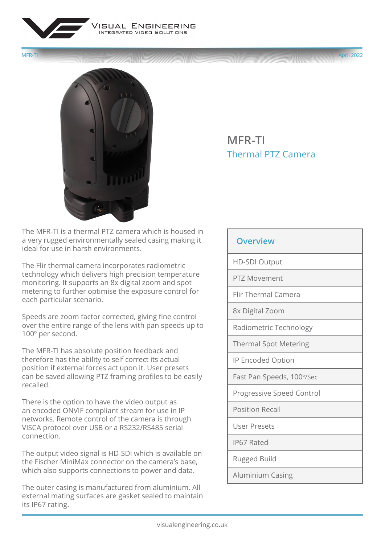



## **MFR-TI** Thermal PTZ Camera

The MFR-TI is a thermal PTZ camera which is housed in a very rugged environmentally sealed casing making it ideal for use in harsh environments.

The Flir thermal camera incorporates radiometric technology which delivers high precision temperature monitoring. It supports an 8x digital zoom and spot metering to further optimise the exposure control for each particular scenario.

Speeds are zoom factor corrected, giving fine control over the entire range of the lens with pan speeds up to 100º per second.

The MFR-TI has absolute position feedback and therefore has the ability to self correct its actual position if external forces act upon it. User presets can be saved allowing PTZ framing profiles to be easily recalled.

There is the option to have the video output as an encoded ONVIF compliant stream for use in IP networks. Remote control of the camera is through VISCA protocol over USB or a RS232/RS485 serial connection.

The output video signal is HD-SDI which is available on the Fischer MiniMax connector on the camera's base, which also supports connections to power and data.

The outer casing is manufactured from aluminium. All external mating surfaces are gasket sealed to maintain its IP67 rating.

## **Overview**

HD-SDI Output

PTZ Movement

Flir Thermal Camera

8x Digital Zoom

Radiometric Technology

Thermal Spot Metering

IP Encoded Option

Fast Pan Speeds, 100º/Sec

Progressive Speed Control

Position Recall

User Presets

IP67 Rated

Rugged Build

Aluminium Casing